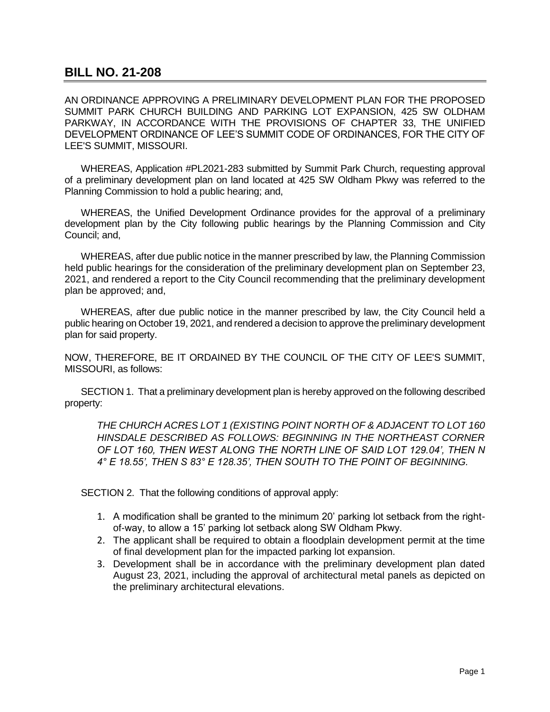## **BILL NO. 21-208**

AN ORDINANCE APPROVING A PRELIMINARY DEVELOPMENT PLAN FOR THE PROPOSED SUMMIT PARK CHURCH BUILDING AND PARKING LOT EXPANSION, 425 SW OLDHAM PARKWAY, IN ACCORDANCE WITH THE PROVISIONS OF CHAPTER 33, THE UNIFIED DEVELOPMENT ORDINANCE OF LEE'S SUMMIT CODE OF ORDINANCES, FOR THE CITY OF LEE'S SUMMIT, MISSOURI.

WHEREAS, Application #PL2021-283 submitted by Summit Park Church, requesting approval of a preliminary development plan on land located at 425 SW Oldham Pkwy was referred to the Planning Commission to hold a public hearing; and,

WHEREAS, the Unified Development Ordinance provides for the approval of a preliminary development plan by the City following public hearings by the Planning Commission and City Council; and,

WHEREAS, after due public notice in the manner prescribed by law, the Planning Commission held public hearings for the consideration of the preliminary development plan on September 23, 2021, and rendered a report to the City Council recommending that the preliminary development plan be approved; and,

WHEREAS, after due public notice in the manner prescribed by law, the City Council held a public hearing on October 19, 2021, and rendered a decision to approve the preliminary development plan for said property.

NOW, THEREFORE, BE IT ORDAINED BY THE COUNCIL OF THE CITY OF LEE'S SUMMIT, MISSOURI, as follows:

SECTION 1. That a preliminary development plan is hereby approved on the following described property:

*THE CHURCH ACRES LOT 1 (EXISTING POINT NORTH OF & ADJACENT TO LOT 160 HINSDALE DESCRIBED AS FOLLOWS: BEGINNING IN THE NORTHEAST CORNER OF LOT 160, THEN WEST ALONG THE NORTH LINE OF SAID LOT 129.04', THEN N 4° E 18.55', THEN S 83° E 128.35', THEN SOUTH TO THE POINT OF BEGINNING.*

SECTION 2. That the following conditions of approval apply:

- 1. A modification shall be granted to the minimum 20' parking lot setback from the rightof-way, to allow a 15' parking lot setback along SW Oldham Pkwy.
- 2. The applicant shall be required to obtain a floodplain development permit at the time of final development plan for the impacted parking lot expansion.
- 3. Development shall be in accordance with the preliminary development plan dated August 23, 2021, including the approval of architectural metal panels as depicted on the preliminary architectural elevations.